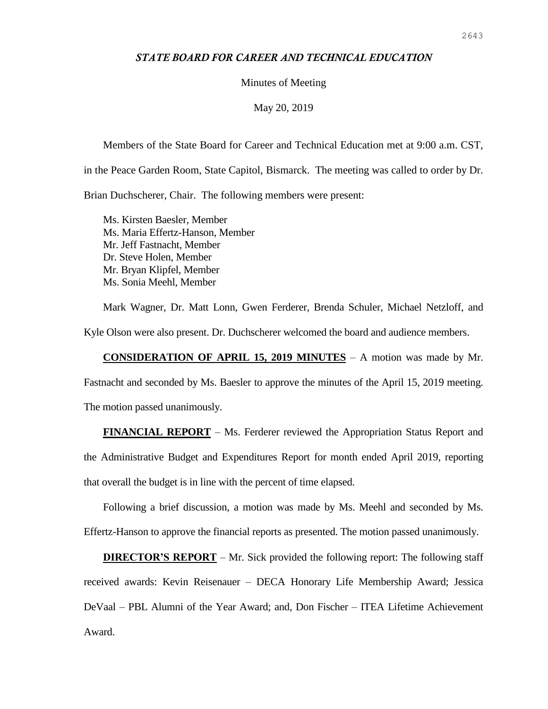## *STATE BOARD FOR CAREER AND TECHNICAL EDUCATION*

### Minutes of Meeting

#### May 20, 2019

Members of the State Board for Career and Technical Education met at 9:00 a.m. CST, in the Peace Garden Room, State Capitol, Bismarck. The meeting was called to order by Dr. Brian Duchscherer, Chair. The following members were present:

Ms. Kirsten Baesler, Member Ms. Maria Effertz-Hanson, Member Mr. Jeff Fastnacht, Member Dr. Steve Holen, Member Mr. Bryan Klipfel, Member Ms. Sonia Meehl, Member

Mark Wagner, Dr. Matt Lonn, Gwen Ferderer, Brenda Schuler, Michael Netzloff, and Kyle Olson were also present. Dr. Duchscherer welcomed the board and audience members.

**CONSIDERATION OF APRIL 15, 2019 MINUTES** – A motion was made by Mr.

Fastnacht and seconded by Ms. Baesler to approve the minutes of the April 15, 2019 meeting. The motion passed unanimously.

**FINANCIAL REPORT** – Ms. Ferderer reviewed the Appropriation Status Report and the Administrative Budget and Expenditures Report for month ended April 2019, reporting that overall the budget is in line with the percent of time elapsed.

Following a brief discussion, a motion was made by Ms. Meehl and seconded by Ms. Effertz-Hanson to approve the financial reports as presented. The motion passed unanimously.

**DIRECTOR'S REPORT** – Mr. Sick provided the following report: The following staff received awards: Kevin Reisenauer – DECA Honorary Life Membership Award; Jessica DeVaal – PBL Alumni of the Year Award; and, Don Fischer – ITEA Lifetime Achievement Award.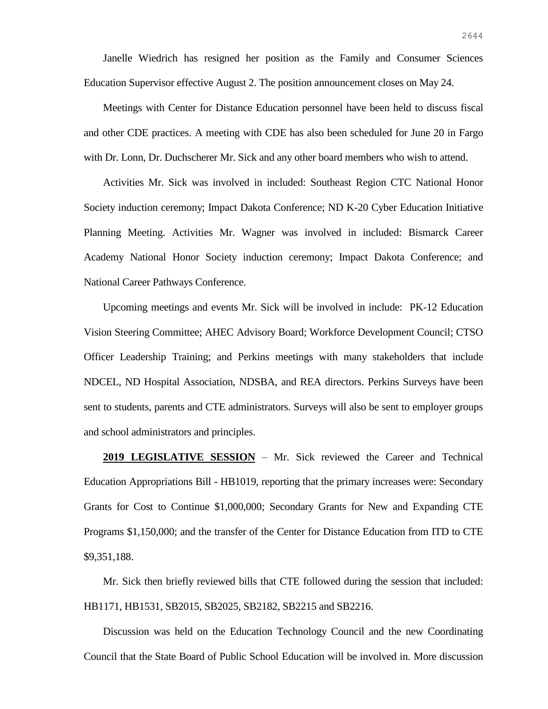Janelle Wiedrich has resigned her position as the Family and Consumer Sciences Education Supervisor effective August 2. The position announcement closes on May 24.

Meetings with Center for Distance Education personnel have been held to discuss fiscal and other CDE practices. A meeting with CDE has also been scheduled for June 20 in Fargo with Dr. Lonn, Dr. Duchscherer Mr. Sick and any other board members who wish to attend.

Activities Mr. Sick was involved in included: Southeast Region CTC National Honor Society induction ceremony; Impact Dakota Conference; ND K-20 Cyber Education Initiative Planning Meeting. Activities Mr. Wagner was involved in included: Bismarck Career Academy National Honor Society induction ceremony; Impact Dakota Conference; and National Career Pathways Conference.

Upcoming meetings and events Mr. Sick will be involved in include: PK-12 Education Vision Steering Committee; AHEC Advisory Board; Workforce Development Council; CTSO Officer Leadership Training; and Perkins meetings with many stakeholders that include NDCEL, ND Hospital Association, NDSBA, and REA directors. Perkins Surveys have been sent to students, parents and CTE administrators. Surveys will also be sent to employer groups and school administrators and principles.

**2019 LEGISLATIVE SESSION** – Mr. Sick reviewed the Career and Technical Education Appropriations Bill - HB1019, reporting that the primary increases were: Secondary Grants for Cost to Continue \$1,000,000; Secondary Grants for New and Expanding CTE Programs \$1,150,000; and the transfer of the Center for Distance Education from ITD to CTE \$9,351,188.

Mr. Sick then briefly reviewed bills that CTE followed during the session that included: HB1171, HB1531, SB2015, SB2025, SB2182, SB2215 and SB2216.

Discussion was held on the Education Technology Council and the new Coordinating Council that the State Board of Public School Education will be involved in. More discussion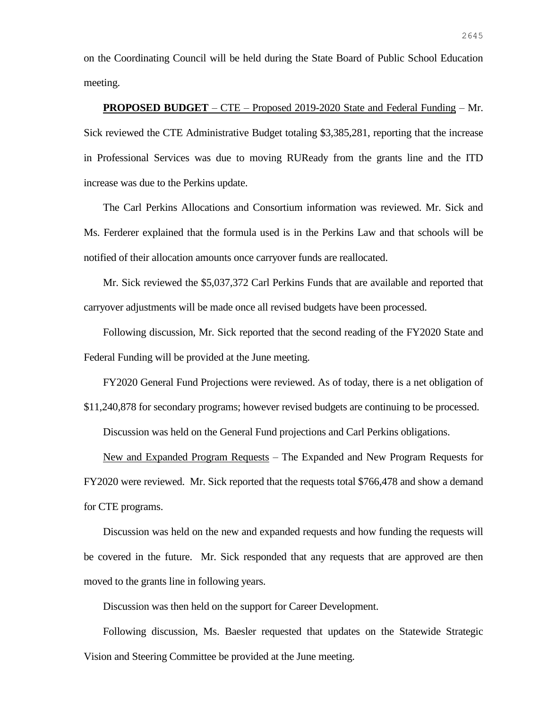on the Coordinating Council will be held during the State Board of Public School Education meeting.

**PROPOSED BUDGET** – CTE – Proposed 2019-2020 State and Federal Funding – Mr. Sick reviewed the CTE Administrative Budget totaling \$3,385,281, reporting that the increase in Professional Services was due to moving RUReady from the grants line and the ITD increase was due to the Perkins update.

The Carl Perkins Allocations and Consortium information was reviewed. Mr. Sick and Ms. Ferderer explained that the formula used is in the Perkins Law and that schools will be notified of their allocation amounts once carryover funds are reallocated.

Mr. Sick reviewed the \$5,037,372 Carl Perkins Funds that are available and reported that carryover adjustments will be made once all revised budgets have been processed.

Following discussion, Mr. Sick reported that the second reading of the FY2020 State and Federal Funding will be provided at the June meeting.

FY2020 General Fund Projections were reviewed. As of today, there is a net obligation of

\$11,240,878 for secondary programs; however revised budgets are continuing to be processed.

Discussion was held on the General Fund projections and Carl Perkins obligations.

New and Expanded Program Requests – The Expanded and New Program Requests for FY2020 were reviewed. Mr. Sick reported that the requests total \$766,478 and show a demand for CTE programs.

Discussion was held on the new and expanded requests and how funding the requests will be covered in the future. Mr. Sick responded that any requests that are approved are then moved to the grants line in following years.

Discussion was then held on the support for Career Development.

Following discussion, Ms. Baesler requested that updates on the Statewide Strategic Vision and Steering Committee be provided at the June meeting.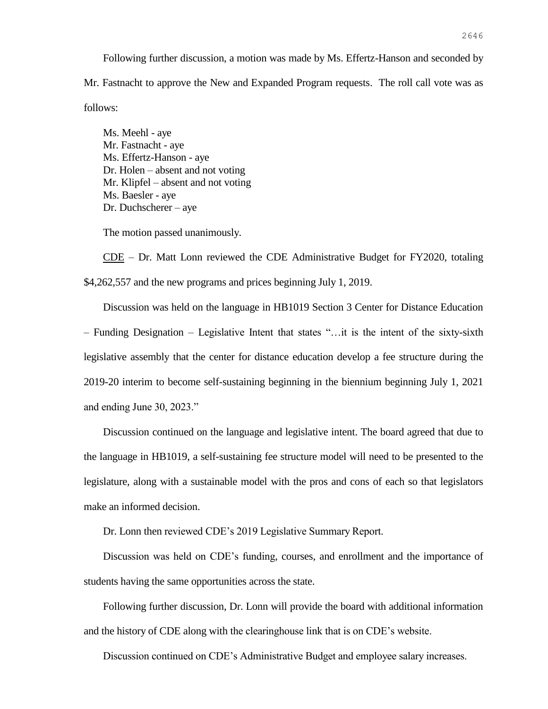Following further discussion, a motion was made by Ms. Effertz-Hanson and seconded by Mr. Fastnacht to approve the New and Expanded Program requests. The roll call vote was as follows:

Ms. Meehl - aye Mr. Fastnacht - aye Ms. Effertz-Hanson - aye Dr. Holen – absent and not voting Mr. Klipfel – absent and not voting Ms. Baesler - aye Dr. Duchscherer – aye

The motion passed unanimously.

 $\overline{\text{CDE}}$  – Dr. Matt Lonn reviewed the CDE Administrative Budget for FY2020, totaling \$4,262,557 and the new programs and prices beginning July 1, 2019.

Discussion was held on the language in HB1019 Section 3 Center for Distance Education – Funding Designation – Legislative Intent that states "…it is the intent of the sixty-sixth legislative assembly that the center for distance education develop a fee structure during the 2019-20 interim to become self-sustaining beginning in the biennium beginning July 1, 2021 and ending June 30, 2023."

Discussion continued on the language and legislative intent. The board agreed that due to the language in HB1019, a self-sustaining fee structure model will need to be presented to the legislature, along with a sustainable model with the pros and cons of each so that legislators make an informed decision.

Dr. Lonn then reviewed CDE's 2019 Legislative Summary Report.

Discussion was held on CDE's funding, courses, and enrollment and the importance of students having the same opportunities across the state.

Following further discussion, Dr. Lonn will provide the board with additional information and the history of CDE along with the clearinghouse link that is on CDE's website.

Discussion continued on CDE's Administrative Budget and employee salary increases.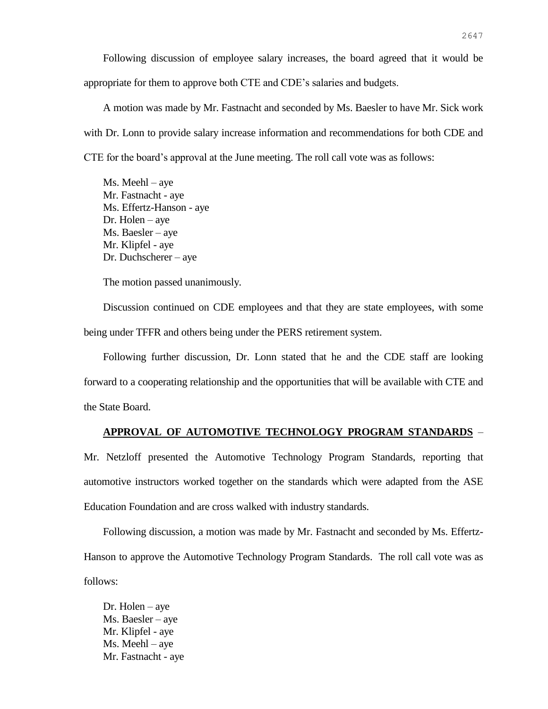Following discussion of employee salary increases, the board agreed that it would be appropriate for them to approve both CTE and CDE's salaries and budgets.

A motion was made by Mr. Fastnacht and seconded by Ms. Baesler to have Mr. Sick work with Dr. Lonn to provide salary increase information and recommendations for both CDE and CTE for the board's approval at the June meeting. The roll call vote was as follows:

Ms. Meehl – aye Mr. Fastnacht - aye Ms. Effertz-Hanson - aye Dr. Holen – aye Ms. Baesler – aye Mr. Klipfel - aye Dr. Duchscherer – aye

The motion passed unanimously.

Discussion continued on CDE employees and that they are state employees, with some being under TFFR and others being under the PERS retirement system.

Following further discussion, Dr. Lonn stated that he and the CDE staff are looking forward to a cooperating relationship and the opportunities that will be available with CTE and the State Board.

#### **APPROVAL OF AUTOMOTIVE TECHNOLOGY PROGRAM STANDARDS** –

Mr. Netzloff presented the Automotive Technology Program Standards, reporting that automotive instructors worked together on the standards which were adapted from the ASE Education Foundation and are cross walked with industry standards.

Following discussion, a motion was made by Mr. Fastnacht and seconded by Ms. Effertz-Hanson to approve the Automotive Technology Program Standards. The roll call vote was as follows:

Dr. Holen – aye Ms. Baesler – aye Mr. Klipfel - aye Ms. Meehl – aye Mr. Fastnacht - aye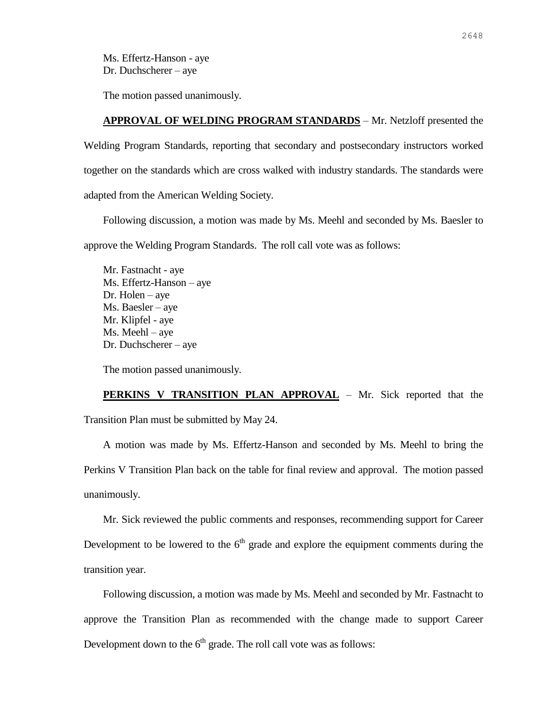Ms. Effertz-Hanson - aye Dr. Duchscherer – aye

The motion passed unanimously.

## **APPROVAL OF WELDING PROGRAM STANDARDS** – Mr. Netzloff presented the

Welding Program Standards, reporting that secondary and postsecondary instructors worked together on the standards which are cross walked with industry standards. The standards were adapted from the American Welding Society.

Following discussion, a motion was made by Ms. Meehl and seconded by Ms. Baesler to approve the Welding Program Standards. The roll call vote was as follows:

Mr. Fastnacht - aye Ms. Effertz-Hanson – aye Dr. Holen – aye Ms. Baesler – aye Mr. Klipfel - aye Ms. Meehl – aye Dr. Duchscherer – aye

The motion passed unanimously.

**PERKINS V TRANSITION PLAN APPROVAL** – Mr. Sick reported that the Transition Plan must be submitted by May 24.

A motion was made by Ms. Effertz-Hanson and seconded by Ms. Meehl to bring the Perkins V Transition Plan back on the table for final review and approval. The motion passed unanimously.

Mr. Sick reviewed the public comments and responses, recommending support for Career Development to be lowered to the  $6<sup>th</sup>$  grade and explore the equipment comments during the transition year.

Following discussion, a motion was made by Ms. Meehl and seconded by Mr. Fastnacht to approve the Transition Plan as recommended with the change made to support Career Development down to the  $6<sup>th</sup>$  grade. The roll call vote was as follows: